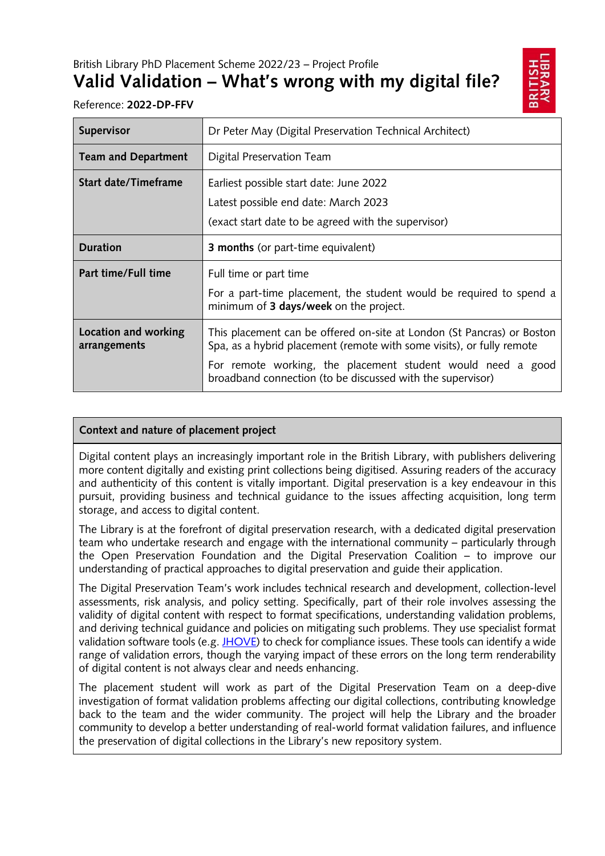British Library PhD Placement Scheme 2022/23 – Project Profile

# **Valid Validation – What's wrong with my digital file?**



Reference: **2022-DP-FFV**

| Supervisor                           | Dr Peter May (Digital Preservation Technical Architect)                                                                                                                                                                                                                      |
|--------------------------------------|------------------------------------------------------------------------------------------------------------------------------------------------------------------------------------------------------------------------------------------------------------------------------|
| <b>Team and Department</b>           | Digital Preservation Team                                                                                                                                                                                                                                                    |
| Start date/Timeframe                 | Earliest possible start date: June 2022<br>Latest possible end date: March 2023<br>(exact start date to be agreed with the supervisor)                                                                                                                                       |
| <b>Duration</b>                      | <b>3 months</b> (or part-time equivalent)                                                                                                                                                                                                                                    |
| Part time/Full time                  | Full time or part time<br>For a part-time placement, the student would be required to spend a<br>minimum of 3 days/week on the project.                                                                                                                                      |
| Location and working<br>arrangements | This placement can be offered on-site at London (St Pancras) or Boston<br>Spa, as a hybrid placement (remote with some visits), or fully remote<br>For remote working, the placement student would need a good<br>broadband connection (to be discussed with the supervisor) |

## **Context and nature of placement project**

Digital content plays an increasingly important role in the British Library, with publishers delivering more content digitally and existing print collections being digitised. Assuring readers of the accuracy and authenticity of this content is vitally important. Digital preservation is a key endeavour in this pursuit, providing business and technical guidance to the issues affecting acquisition, long term storage, and access to digital content.

The Library is at the forefront of digital preservation research, with a dedicated digital preservation team who undertake research and engage with the international community – particularly through the Open Preservation Foundation and the Digital Preservation Coalition – to improve our understanding of practical approaches to digital preservation and guide their application.

The Digital Preservation Team's work includes technical research and development, collection-level assessments, risk analysis, and policy setting. Specifically, part of their role involves assessing the validity of digital content with respect to format specifications, understanding validation problems, and deriving technical guidance and policies on mitigating such problems. They use specialist format validation software tools (e.g[. JHOVE\)](http://jhove.openpreservation.org/) to check for compliance issues. These tools can identify a wide range of validation errors, though the varying impact of these errors on the long term renderability of digital content is not always clear and needs enhancing.

The placement student will work as part of the Digital Preservation Team on a deep-dive investigation of format validation problems affecting our digital collections, contributing knowledge back to the team and the wider community. The project will help the Library and the broader community to develop a better understanding of real-world format validation failures, and influence the preservation of digital collections in the Library's new repository system.